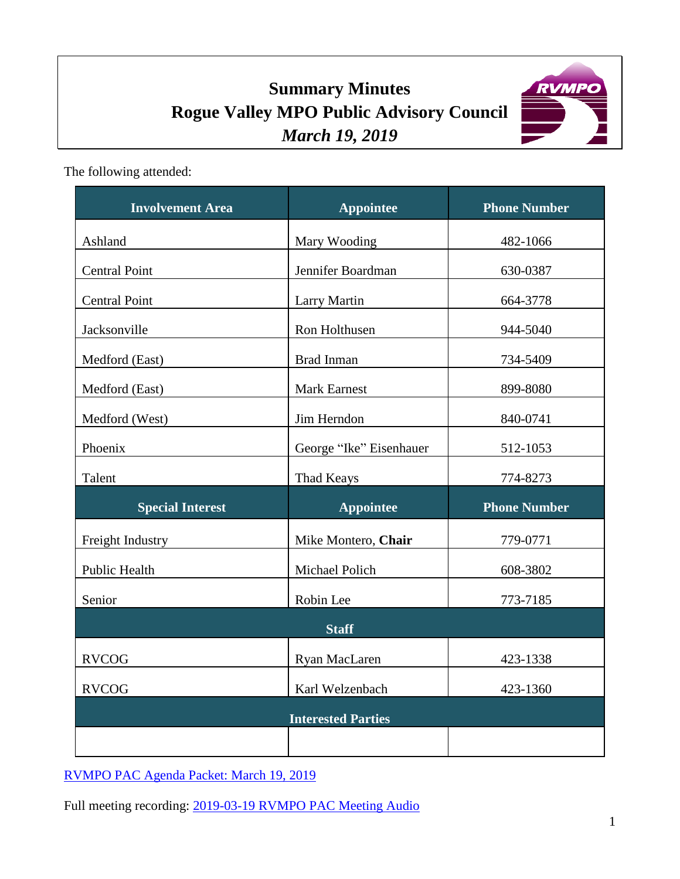# **Summary Minutes Rogue Valley MPO Public Advisory Council** *March 19, 2019*



The following attended:

| <b>Involvement Area</b>   | <b>Appointee</b>        | <b>Phone Number</b> |
|---------------------------|-------------------------|---------------------|
| Ashland                   | Mary Wooding            | 482-1066            |
| <b>Central Point</b>      | Jennifer Boardman       | 630-0387            |
| <b>Central Point</b>      | <b>Larry Martin</b>     | 664-3778            |
| Jacksonville              | Ron Holthusen           | 944-5040            |
| Medford (East)            | Brad Inman              | 734-5409            |
| Medford (East)            | <b>Mark Earnest</b>     | 899-8080            |
| Medford (West)            | Jim Herndon             | 840-0741            |
| Phoenix                   | George "Ike" Eisenhauer | 512-1053            |
| Talent                    | <b>Thad Keays</b>       | 774-8273            |
| <b>Special Interest</b>   | <b>Appointee</b>        | <b>Phone Number</b> |
| Freight Industry          | Mike Montero, Chair     | 779-0771            |
| Public Health             | Michael Polich          | 608-3802            |
| Senior                    | Robin Lee               | 773-7185            |
| <b>Staff</b>              |                         |                     |
| <b>RVCOG</b>              | Ryan MacLaren           | 423-1338            |
| <b>RVCOG</b>              | Karl Welzenbach         | 423-1360            |
| <b>Interested Parties</b> |                         |                     |
|                           |                         |                     |

[RVMPO PAC Agenda Packet: March 19, 2019](https://rvmpo.org/images/committees/public-advisory-council/2019/Agenda_Packets/02192019%20RVMPO%20PAC%20Agenda.pdf)

Full meeting recording: 2019-03-19 [RVMPO PAC Meeting](https://rvmpo.org/images/committees/public-advisory-council/2019/Audio_Files/20190319_RVMPO%20PAC%20Meeting%20Audio_AudacityFinal.mp3) Audio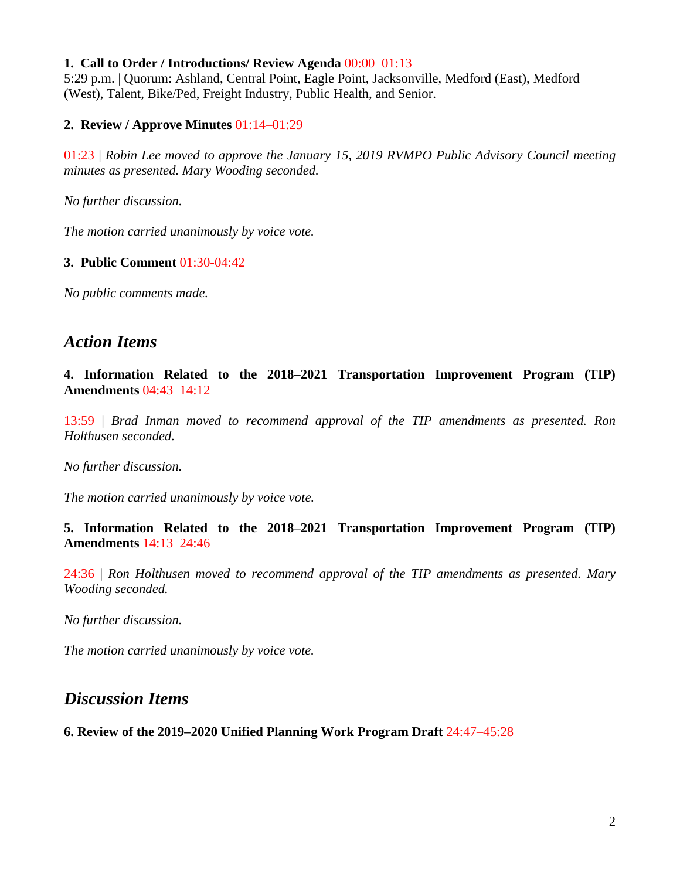#### **1. Call to Order / Introductions/ Review Agenda** 00:00–01:13

5:29 p.m. | Quorum: Ashland, Central Point, Eagle Point, Jacksonville, Medford (East), Medford (West), Talent, Bike/Ped, Freight Industry, Public Health, and Senior.

#### **2. Review / Approve Minutes** 01:14–01:29

01:23 | *Robin Lee moved to approve the January 15, 2019 RVMPO Public Advisory Council meeting minutes as presented. Mary Wooding seconded.*

*No further discussion.*

*The motion carried unanimously by voice vote.*

#### **3. Public Comment** 01:30-04:42

*No public comments made.* 

### *Action Items*

**4. Information Related to the 2018–2021 Transportation Improvement Program (TIP) Amendments** 04:43–14:12

13:59 | *Brad Inman moved to recommend approval of the TIP amendments as presented. Ron Holthusen seconded.*

*No further discussion.*

*The motion carried unanimously by voice vote.*

**5. Information Related to the 2018–2021 Transportation Improvement Program (TIP) Amendments** 14:13–24:46

24:36 | *Ron Holthusen moved to recommend approval of the TIP amendments as presented. Mary Wooding seconded.*

*No further discussion.*

*The motion carried unanimously by voice vote.*

## *Discussion Items*

**6. Review of the 2019–2020 Unified Planning Work Program Draft** 24:47–45:28